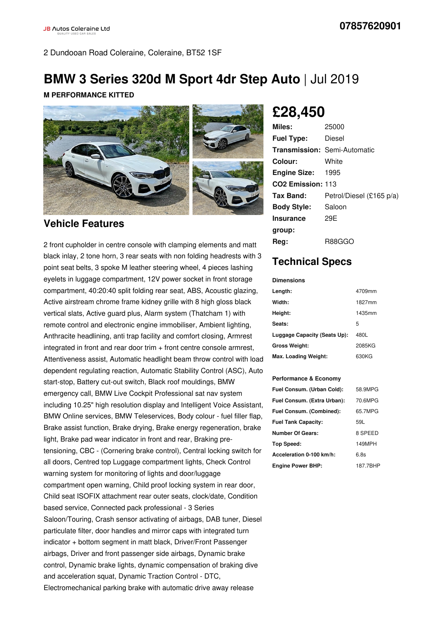2 Dundooan Road Coleraine, Coleraine, BT52 1SF

## **BMW 3 Series 320d M Sport 4dr Step Auto** | Jul 2019

#### **M PERFORMANCE KITTED**



### **Vehicle Features**

2 front cupholder in centre console with clamping elements and matt black inlay, 2 tone horn, 3 rear seats with non folding headrests with 3 point seat belts, 3 spoke M leather steering wheel, 4 pieces lashing eyelets in luggage compartment, 12V power socket in front storage compartment, 40:20:40 split folding rear seat, ABS, Acoustic glazing, Active airstream chrome frame kidney grille with 8 high gloss black vertical slats, Active guard plus, Alarm system (Thatcham 1) with remote control and electronic engine immobiliser, Ambient lighting, Anthracite headlining, anti trap facility and comfort closing, Armrest integrated in front and rear door trim  $+$  front centre console armrest, Attentiveness assist, Automatic headlight beam throw control with load dependent regulating reaction, Automatic Stability Control (ASC), Auto start-stop, Battery cut-out switch, Black roof mouldings, BMW emergency call, BMW Live Cockpit Professional sat nav system including 10.25" high resolution display and Intelligent Voice Assistant, BMW Online services, BMW Teleservices, Body colour - fuel filler flap, Brake assist function, Brake drying, Brake energy regeneration, brake light, Brake pad wear indicator in front and rear, Braking pretensioning, CBC - (Cornering brake control), Central locking switch for all doors, Centred top Luggage compartment lights, Check Control warning system for monitoring of lights and door/luggage compartment open warning, Child proof locking system in rear door, Child seat ISOFIX attachment rear outer seats, clock/date, Condition based service, Connected pack professional - 3 Series Saloon/Touring, Crash sensor activating of airbags, DAB tuner, Diesel particulate filter, door handles and mirror caps with integrated turn indicator + bottom segment in matt black, Driver/Front Passenger airbags, Driver and front passenger side airbags, Dynamic brake control, Dynamic brake lights, dynamic compensation of braking dive and acceleration squat, Dynamic Traction Control - DTC, Electromechanical parking brake with automatic drive away release

# **£28,450**

| Miles:                        | 25000                               |
|-------------------------------|-------------------------------------|
| <b>Fuel Type:</b>             | Diesel                              |
|                               | <b>Transmission: Semi-Automatic</b> |
| Colour:                       | White                               |
| <b>Engine Size: 1995</b>      |                                     |
| CO <sub>2</sub> Emission: 113 |                                     |
| Tax Band:                     | Petrol/Diesel (£165 p/a)            |
| <b>Body Style:</b>            | Saloon                              |
| <b>Insurance</b>              | 29F                                 |
| group:                        |                                     |
| Reg:                          | R88GGO                              |

### **Technical Specs**

#### **Dimensions**

| Length:                      | 4709mm |
|------------------------------|--------|
| Width:                       | 1827mm |
| Height:                      | 1435mm |
| Seats:                       | 5      |
| Luggage Capacity (Seats Up): | 480L   |
| <b>Gross Weight:</b>         | 2085KG |
| Max. Loading Weight:         | 630KG  |

#### **Performance & Economy**

| Fuel Consum. (Urban Cold):  | 58.9MPG  |
|-----------------------------|----------|
| Fuel Consum. (Extra Urban): | 70.6MPG  |
| Fuel Consum. (Combined):    | 65.7MPG  |
| <b>Fuel Tank Capacity:</b>  | 59L      |
| <b>Number Of Gears:</b>     | 8 SPEED  |
| Top Speed:                  | 149MPH   |
| Acceleration 0-100 km/h:    | 6.8s     |
| <b>Engine Power BHP:</b>    | 187.7BHP |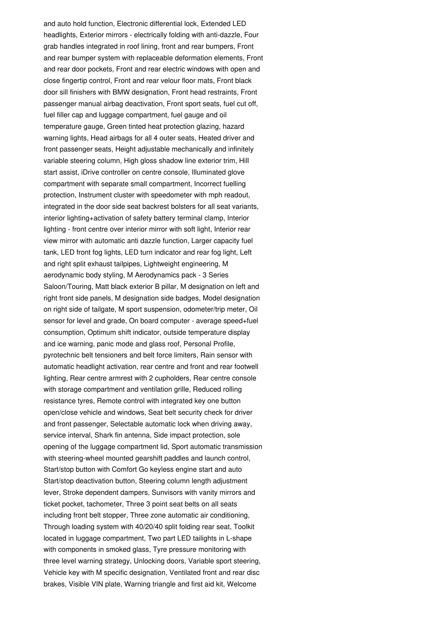and auto hold function, Electronic differential lock, Extended LED headlights, Exterior mirrors - electrically folding with anti-dazzle, Four grab handles integrated in roof lining, front and rear bumpers, Front and rear bumper system with replaceable deformation elements, Front and rear door pockets, Front and rear electric windows with open and close fingertip control, Front and rear velour floor mats, Front black door sill finishers with BMW designation, Front head restraints, Front passenger manual airbag deactivation, Front sport seats, fuel cut off, fuel filler cap and luggage compartment, fuel gauge and oil temperature gauge, Green tinted heat protection glazing, hazard warning lights, Head airbags for all 4 outer seats, Heated driver and front passenger seats, Height adjustable mechanically and infinitely variable steering column, High gloss shadow line exterior trim, Hill start assist, iDrive controller on centre console, Illuminated glove compartment with separate small compartment, Incorrect fuelling protection, Instrument cluster with speedometer with mph readout, integrated in the door side seat backrest bolsters for all seat variants, interior lighting+activation of safety battery terminal clamp, Interior lighting - front centre over interior mirror with soft light, Interior rear view mirror with automatic anti dazzle function, Larger capacity fuel tank, LED front fog lights, LED turn indicator and rear fog light, Left and right split exhaust tailpipes, Lightweight engineering, M aerodynamic body styling, M Aerodynamics pack -3 Series Saloon/Touring, Matt black exterior B pillar, M designation on left and right front side panels, M designation side badges, Model designation on right side of tailgate, M sport suspension, odometer/trip meter, Oil sensor for level and grade, On board computer - average speed+fuel consumption, Optimum shift indicator, outside temperature display and ice warning, panic mode and glass roof, Personal Profile, pyrotechnic belt tensioners and belt force limiters, Rain sensor with automatic headlight activation, rear centre and front and rear footwell lighting, Rear centre armrest with 2 cupholders, Rear centre console with storage compartment and ventilation grille, Reduced rolling resistance tyres, Remote control with integrated key one button open/close vehicle and windows, Seat belt security check for driver and front passenger, Selectable automatic lock when driving away, service interval, Shark fin antenna, Side impact protection, sole opening of the luggage compartment lid, Sport automatic transmission with steering-wheel mounted gearshift paddles and launch control, Start/stop button with Comfort Go keyless engine start and auto Start/stop deactivation button, Steering column length adjustment lever, Stroke dependent dampers, Sunvisors with vanity mirrors and ticket pocket, tachometer, Three 3 point seat belts on all seats including front belt stopper, Three zone automatic air conditioning, Through loading system with 40/20/40 split folding rear seat, Toolkit located in luggage compartment, Two part LED tailights in L-shape with components in smoked glass, Tyre pressure monitoring with three level warning strategy, Unlocking doors, Variable sport steering, Vehicle key with M specific designation, Ventilated front and rear disc brakes, Visible VIN plate, Warning triangle and first aid kit, Welcome